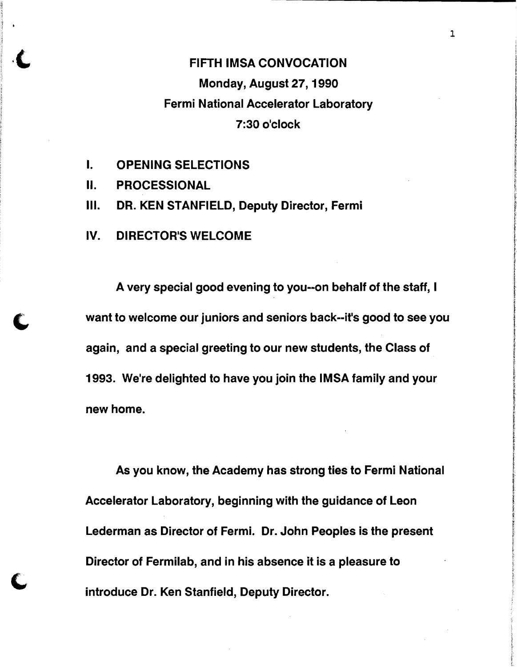## **FIFTH IMSA CONVOCATION** Monday, August 27, 1990 Fermi National Accelerator Laboratory 7:30 o'clock

- I. OPENING SELECTIONS
- II. PROCESSIONAL
- III. DR. KEN STANFIELD, Deputy Director, Fermi
- IV. DIRECTOR'S WELCOME

A very special good evening to you--on behalf of the staff, I **C** want to welcome our juniors and seniors back--it's good to see you again, and a special greeting to our new students, the Class of 1993. We're delighted to have you join the IMSA family and your new home.

> As you know, the Academy has strong ties to Fermi National Accelerator Laboratory, beginning with the guidance of Leon Lederman as Director of Fermi. Dr. John Peoples is the present Director of Fermilab, and in his absence it is a pleasure to introduce Dr. Ken Stanfield, Deputy Director.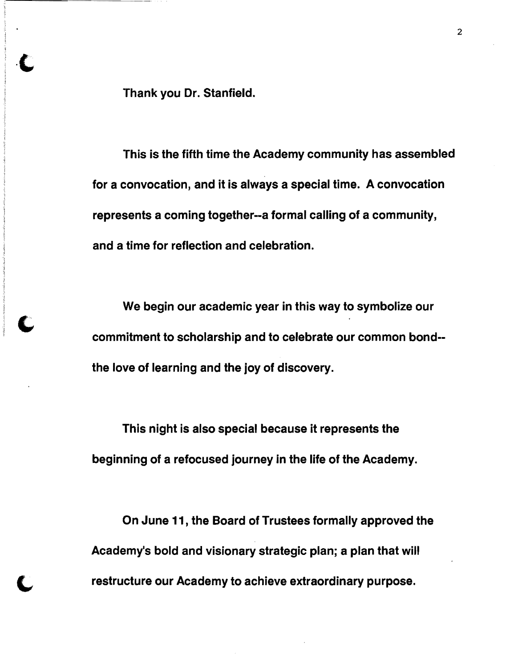Thank you Dr. Stanfield.

This is the fifth time the Academy community has assembled for a convocation, and it is always a special time. A convocation represents a coming together--a formal calling of a community, and a time for reflection and celebration.

We begin our academic year in this way to symbolize our commitment to scholarship and to celebrate our common bond the love of learning and the joy of discovery.

This night is also special because it represents the beginning of a refocused journey in the life of the Academy.

On June 11, the Board of Trustees formally approved the Academy's bold and visionary strategic plan; a plan that will restructure our Academy to achieve extraordinary purpose.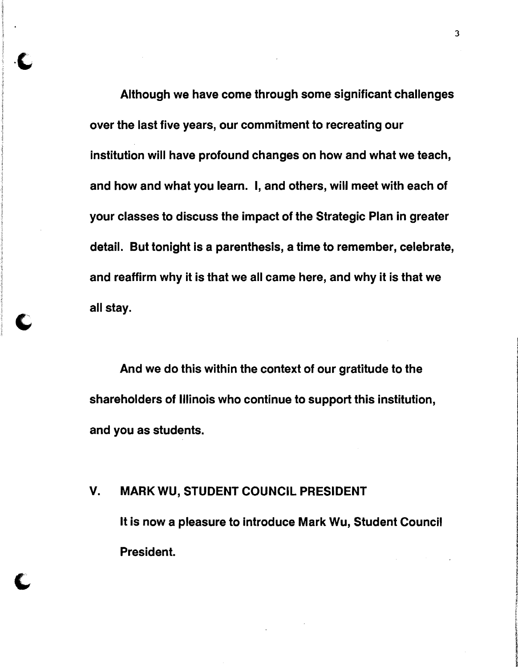Although we have come through some significant challenges over the last five years, our commitment to recreating our institution will have profound changes on how and what we teach, and how and what you learn. I, and others, will meet with each of your classes to discuss the impact of the Strategic Plan in greater detail. But tonight is a parenthesis, a time to remember, celebrate, and reaffirm why it is that we all came here, and why it is that we all stay.

And we do this within the context of our gratitude to the shareholders of Illinois who continue to support this institution, and you as students.

# V. MARK WU, STUDENT COUNCIL PRESIDENT It is now a pleasure to introduce Mark Wu, Student Council President.

 $\mathbf C$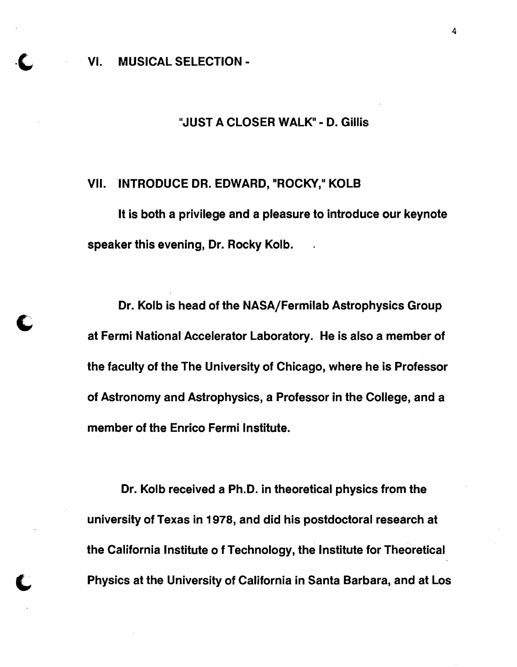VI. MUSICAL SELECTION -

#### "JUST A CLOSER WALK" - D. Gillis

#### VII. INTRODUCE DR. EDWARD, "ROCKY," KOLB

It is both a privilege and a pleasure to introduce our keynote speaker this evening, Dr. Rocky Kolb.

Dr. Kolb is head of the NASA/Fermilab Astrophysics Group at Fermi National Accelerator Laboratory. He is also a member of the faculty of the The University of Chicago, where he is Professor of Astronomy and Astrophysics, a Professor in the College, and a member of the Enrico Fermi Institute.

Dr. Kolb received a Ph.D. in theoretical physics from the university of Texas in 1978, and did his postdoctoral research at the California Institute 0 f Technology, the Institute for Theoretical Physics at the University of California in Santa Barbara, and at Los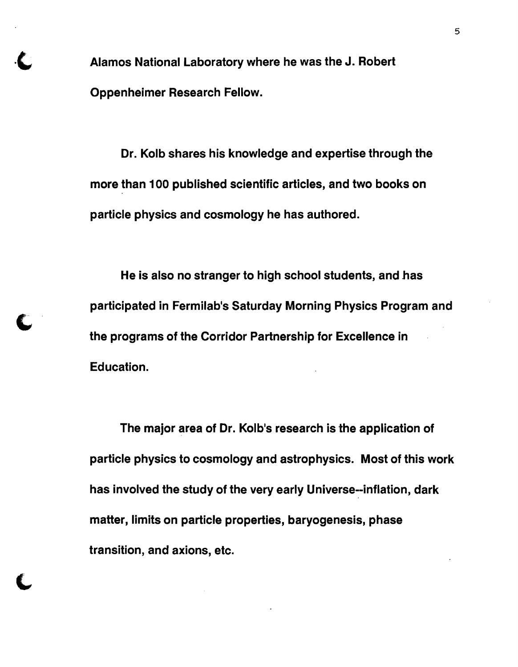Alamos National Laboratory where he was the J. Robert Oppenheimer Research Fellow.

Dr. Kolb shares his knowledge and expertise through the more than 100 published scientific articles, and two books on particle physics and cosmology he has authored.

He is also no stranger to high school students, and has participated in Fermilab's Saturday Morning Physics Program and the programs of the Corridor Partnership for Excellence in Education.

The major area of Dr. Kolb's research is the application of particle physics to cosmology and astrophysics. Most of this work has involved the study of the very early Universe--inflation, dark matter, limits on particle properties, baryogenesis, phase transition, and axions, etc.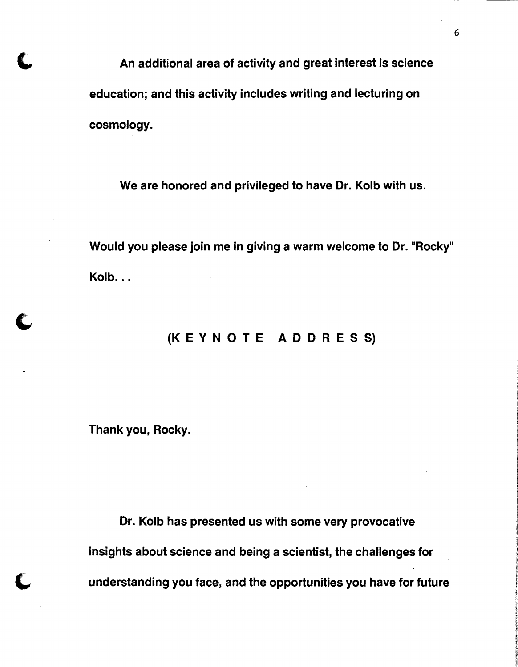An additional area of activity and great interest is science<br>" education; and this activity includes writing and lecturing on cosmology.

We are honored and privileged to have Dr. Kolb with us.

Would you please join me in giving a warm welcome to Dr. "Rocky" Kolb...

### {K E Y NOT E ADD RES S}

Thank you, Rocky.

 $\overline{\phantom{0}}$ 

Dr. Kolb has presented us with some very provocative insights about science and being a scientist, the challenges for understanding you face, and the opportunities you have for future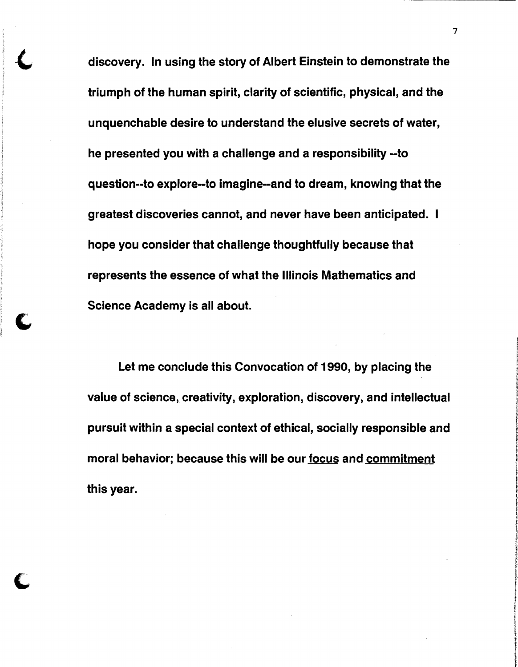discovery. In using the story of Albert Einstein to demonstrate the triumph of the human spirit, clarity of scientific, physical, and the unquenchable desire to understand the elusive secrets of water, he presented you with a challenge and a responsibility -to question--to explore--to imagine--and to dream, knowing that the greatest discoveries cannot, and never have been anticipated. hope you consider that challenge thoughtfully because that represents the essence of what the Illinois Mathematics and Science Academy is all about.

Let me conclude this Convocation of 1990, by placing the value of science, creativity, exploration, discovery, and intellectual pursuit within a special context of ethical, socially responsible and moral behavior; because this will be our focus and commitment this year.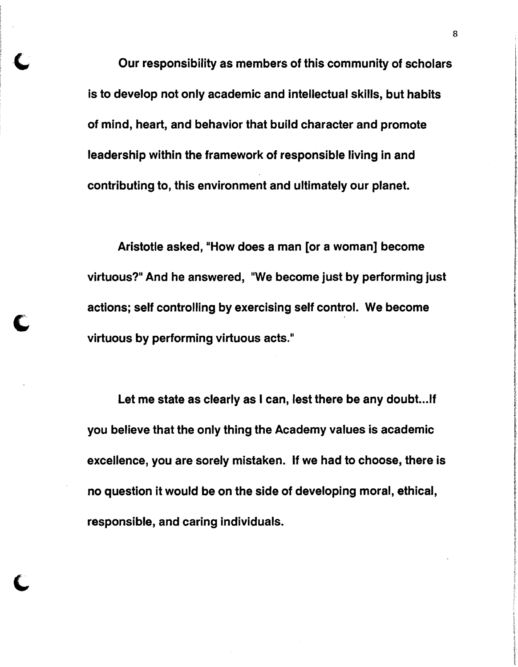Our responsibility as members of this community of scholars is to develop not only academic and intellectual skills, but habits of mind, heart, and behavior that build character and promote leadership within the framework of responsible living in and contributing to, this environment and ultimately our planet.

Aristotle asked, "How does a man [or a woman] become virtuous?" And he answered, "We become just by performing just actions; self controlling by exercising self control. We become virtuous by performing virtuous acts."

C

Let me state as clearly as I can, lest there be any doubt... If you believe that the only thing the Academy values is academic excellence, you are sorely mistaken. If we had to choose, there is no question it would be on the side of developing moral, ethical, responsible, and caring individuals.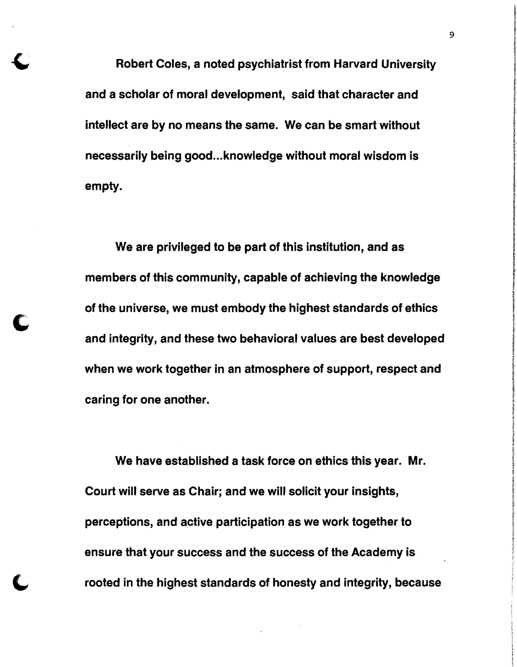Robert Coles, a noted psychiatrist from Harvard University and a scholar of moral development, said that character and intellect are by no means the same. We can be smart without necessarily being good... knowledge without moral wisdom is empty. **I***P* is a set of the set of the set of the set of the set of the set of the set of the set of the set of the set of the set of the set of the set of the set of the set of the set of the set of the set of the set o

We are privileged to be part of this institution, and as members of this community, capable of achieving the knowledge of the universe, we must embody the highest standards of ethics and integrity, and these two behavioral values are best developed when we work together in an atmosphere of support, respect and caring for one another.

We have established a task force on ethics this year. Mr. Court will serve as Chair; and we will solicit your insights, I perceptions, and active participation as we work together to ensure that your success and the success of the Academy is rooted in the highest standards of honesty and integrity, because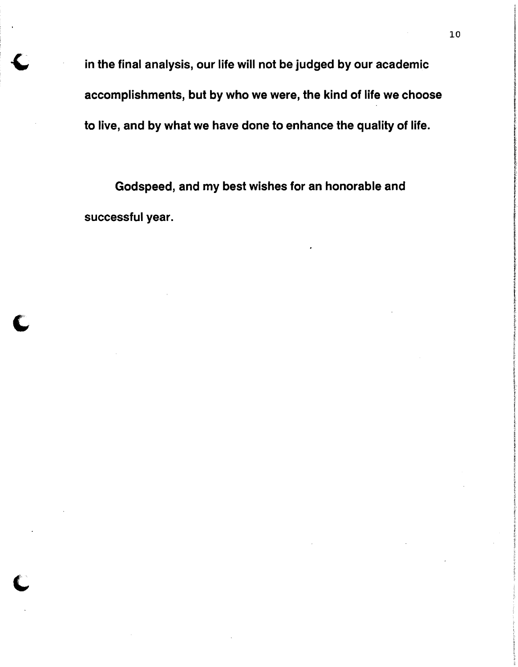in the final analysis, our life will not be judged by our academic accomplishments, but by who we were, the kind of life we choose to live, and by what we have done to enhance the quality of life.

Godspeed, and my best wishes for an honorable and successful year.

C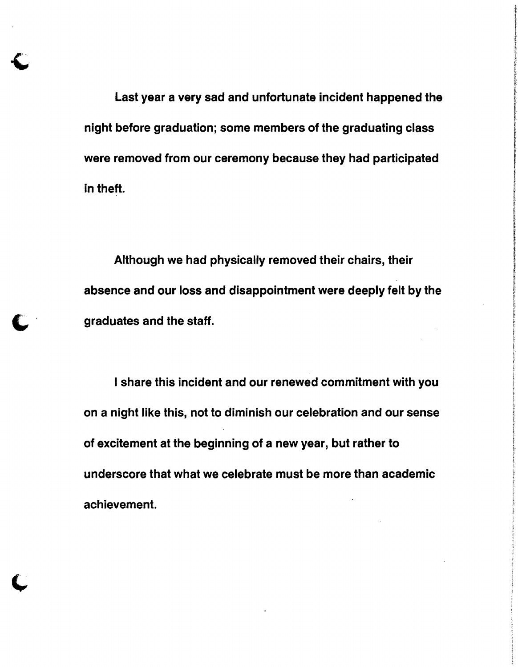Last year a very sad and unfortunate incident happened the night before graduation; some members of the graduating class were removed from our ceremony because they had participated in theft.

Although we had physically removed their chairs, their absence and our loss and disappointment were deeply felt by the graduates and the staff.

I share this incident and our renewed commitment with you on a night like this, not to diminish our celebration and our sense of excitement at the beginning of a new year, but rather to underscore that what we celebrate must be more than academic achievement.